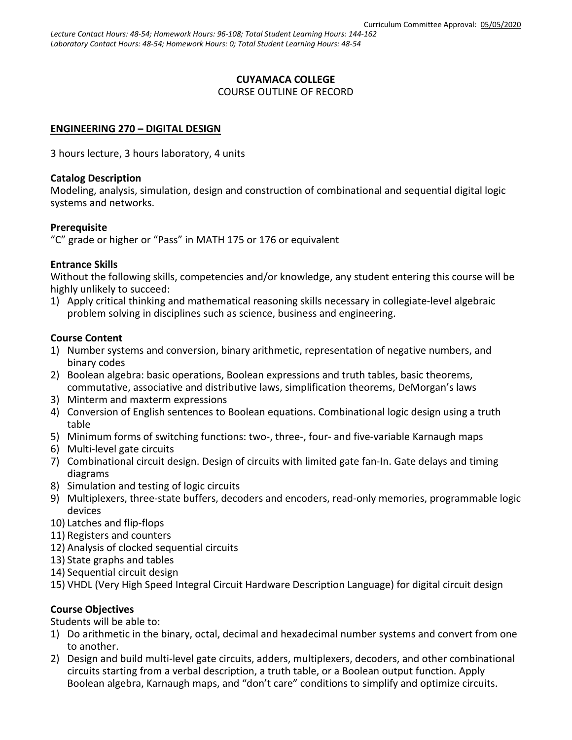#### **CUYAMACA COLLEGE** COURSE OUTLINE OF RECORD

### **ENGINEERING 270 – DIGITAL DESIGN**

3 hours lecture, 3 hours laboratory, 4 units

### **Catalog Description**

Modeling, analysis, simulation, design and construction of combinational and sequential digital logic systems and networks.

### **Prerequisite**

"C" grade or higher or "Pass" in MATH 175 or 176 or equivalent

### **Entrance Skills**

Without the following skills, competencies and/or knowledge, any student entering this course will be highly unlikely to succeed:

1) Apply critical thinking and mathematical reasoning skills necessary in collegiate-level algebraic problem solving in disciplines such as science, business and engineering.

### **Course Content**

- 1) Number systems and conversion, binary arithmetic, representation of negative numbers, and binary codes
- 2) Boolean algebra: basic operations, Boolean expressions and truth tables, basic theorems, commutative, associative and distributive laws, simplification theorems, DeMorgan's laws
- 3) Minterm and maxterm expressions
- 4) Conversion of English sentences to Boolean equations. Combinational logic design using a truth table
- 5) Minimum forms of switching functions: two-, three-, four- and five-variable Karnaugh maps
- 6) Multi-level gate circuits
- 7) Combinational circuit design. Design of circuits with limited gate fan-In. Gate delays and timing diagrams
- 8) Simulation and testing of logic circuits
- 9) Multiplexers, three-state buffers, decoders and encoders, read-only memories, programmable logic devices
- 10) Latches and flip-flops
- 11) Registers and counters
- 12) Analysis of clocked sequential circuits
- 13) State graphs and tables
- 14) Sequential circuit design
- 15) VHDL (Very High Speed Integral Circuit Hardware Description Language) for digital circuit design

# **Course Objectives**

Students will be able to:

- 1) Do arithmetic in the binary, octal, decimal and hexadecimal number systems and convert from one to another.
- 2) Design and build multi-level gate circuits, adders, multiplexers, decoders, and other combinational circuits starting from a verbal description, a truth table, or a Boolean output function. Apply Boolean algebra, Karnaugh maps, and "don't care" conditions to simplify and optimize circuits.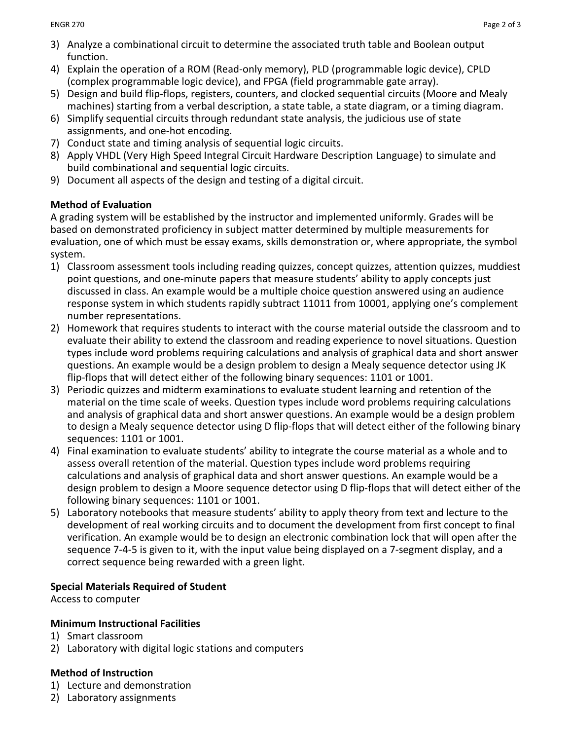- 3) Analyze a combinational circuit to determine the associated truth table and Boolean output function.
- 4) Explain the operation of a ROM (Read-only memory), PLD (programmable logic device), CPLD (complex programmable logic device), and FPGA (field programmable gate array).
- 5) Design and build flip-flops, registers, counters, and clocked sequential circuits (Moore and Mealy machines) starting from a verbal description, a state table, a state diagram, or a timing diagram.
- 6) Simplify sequential circuits through redundant state analysis, the judicious use of state assignments, and one-hot encoding.
- 7) Conduct state and timing analysis of sequential logic circuits.
- 8) Apply VHDL (Very High Speed Integral Circuit Hardware Description Language) to simulate and build combinational and sequential logic circuits.
- 9) Document all aspects of the design and testing of a digital circuit.

# **Method of Evaluation**

A grading system will be established by the instructor and implemented uniformly. Grades will be based on demonstrated proficiency in subject matter determined by multiple measurements for evaluation, one of which must be essay exams, skills demonstration or, where appropriate, the symbol system.

- 1) Classroom assessment tools including reading quizzes, concept quizzes, attention quizzes, muddiest point questions, and one-minute papers that measure students' ability to apply concepts just discussed in class. An example would be a multiple choice question answered using an audience response system in which students rapidly subtract 11011 from 10001, applying one's complement number representations.
- 2) Homework that requires students to interact with the course material outside the classroom and to evaluate their ability to extend the classroom and reading experience to novel situations. Question types include word problems requiring calculations and analysis of graphical data and short answer questions. An example would be a design problem to design a Mealy sequence detector using JK flip-flops that will detect either of the following binary sequences: 1101 or 1001.
- 3) Periodic quizzes and midterm examinations to evaluate student learning and retention of the material on the time scale of weeks. Question types include word problems requiring calculations and analysis of graphical data and short answer questions. An example would be a design problem to design a Mealy sequence detector using D flip-flops that will detect either of the following binary sequences: 1101 or 1001.
- 4) Final examination to evaluate students' ability to integrate the course material as a whole and to assess overall retention of the material. Question types include word problems requiring calculations and analysis of graphical data and short answer questions. An example would be a design problem to design a Moore sequence detector using D flip-flops that will detect either of the following binary sequences: 1101 or 1001.
- 5) Laboratory notebooks that measure students' ability to apply theory from text and lecture to the development of real working circuits and to document the development from first concept to final verification. An example would be to design an electronic combination lock that will open after the sequence 7-4-5 is given to it, with the input value being displayed on a 7-segment display, and a correct sequence being rewarded with a green light.

# **Special Materials Required of Student**

Access to computer

# **Minimum Instructional Facilities**

- 1) Smart classroom
- 2) Laboratory with digital logic stations and computers

# **Method of Instruction**

- 1) Lecture and demonstration
- 2) Laboratory assignments